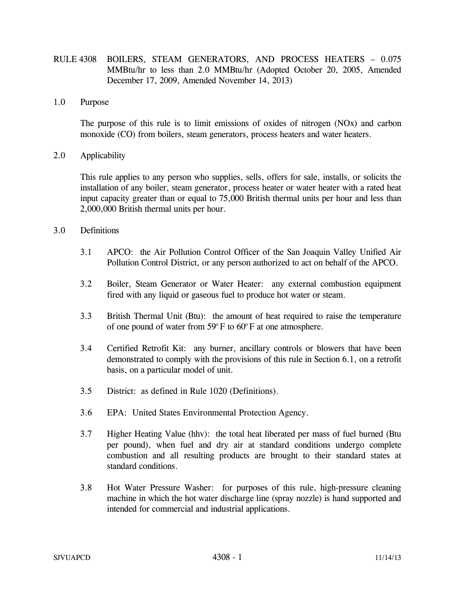- RULE 4308 BOILERS, STEAM GENERATORS, AND PROCESS HEATERS 0.075 MMBtu/hr to less than 2.0 MMBtu/hr (Adopted October 20, 2005, Amended December 17, 2009, Amended November 14, 2013)
- 1.0 Purpose

 The purpose of this rule is to limit emissions of oxides of nitrogen (NOx) and carbon monoxide (CO) from boilers, steam generators, process heaters and water heaters.

2.0 Applicability

 This rule applies to any person who supplies, sells, offers for sale, installs, or solicits the installation of any boiler, steam generator, process heater or water heater with a rated heat input capacity greater than or equal to 75,000 British thermal units per hour and less than 2,000,000 British thermal units per hour.

- 3.0 Definitions
	- 3.1 APCO: the Air Pollution Control Officer of the San Joaquin Valley Unified Air Pollution Control District, or any person authorized to act on behalf of the APCO.
	- 3.2 Boiler, Steam Generator or Water Heater: any external combustion equipment fired with any liquid or gaseous fuel to produce hot water or steam.
	- 3.3 British Thermal Unit (Btu): the amount of heat required to raise the temperature of one pound of water from  $59^{\circ}$  F to  $60^{\circ}$  F at one atmosphere.
	- 3.4 Certified Retrofit Kit: any burner, ancillary controls or blowers that have been demonstrated to comply with the provisions of this rule in Section 6.1, on a retrofit basis, on a particular model of unit.
	- 3.5 District: as defined in Rule 1020 (Definitions).
	- 3.6 EPA: United States Environmental Protection Agency.
	- 3.7 Higher Heating Value (hhv): the total heat liberated per mass of fuel burned (Btu per pound), when fuel and dry air at standard conditions undergo complete combustion and all resulting products are brought to their standard states at standard conditions.
	- 3.8 Hot Water Pressure Washer: for purposes of this rule, high-pressure cleaning machine in which the hot water discharge line (spray nozzle) is hand supported and intended for commercial and industrial applications.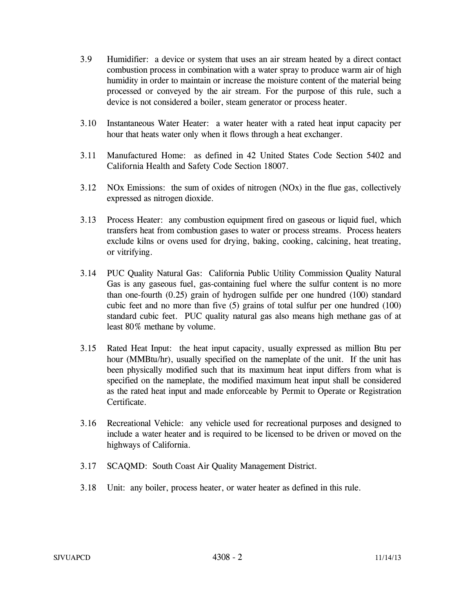- 3.9 Humidifier: a device or system that uses an air stream heated by a direct contact combustion process in combination with a water spray to produce warm air of high humidity in order to maintain or increase the moisture content of the material being processed or conveyed by the air stream. For the purpose of this rule, such a device is not considered a boiler, steam generator or process heater.
- 3.10 Instantaneous Water Heater: a water heater with a rated heat input capacity per hour that heats water only when it flows through a heat exchanger.
- 3.11 Manufactured Home:as defined in 42 United States Code Section 5402 and California Health and Safety Code Section 18007.
- 3.12 NOx Emissions: the sum of oxides of nitrogen (NOx) in the flue gas, collectively expressed as nitrogen dioxide.
- 3.13 Process Heater: any combustion equipment fired on gaseous or liquid fuel, which transfers heat from combustion gases to water or process streams. Process heaters exclude kilns or ovens used for drying, baking, cooking, calcining, heat treating, or vitrifying.
- 3.14 PUC Quality Natural Gas: California Public Utility Commission Quality Natural Gas is any gaseous fuel, gas-containing fuel where the sulfur content is no more than one-fourth (0.25) grain of hydrogen sulfide per one hundred (100) standard cubic feet and no more than five (5) grains of total sulfur per one hundred (100) standard cubic feet. PUC quality natural gas also means high methane gas of at least 80% methane by volume.
- 3.15 Rated Heat Input: the heat input capacity, usually expressed as million Btu per hour (MMBtu/hr), usually specified on the nameplate of the unit. If the unit has been physically modified such that its maximum heat input differs from what is specified on the nameplate, the modified maximum heat input shall be considered as the rated heat input and made enforceable by Permit to Operate or Registration Certificate.
- 3.16 Recreational Vehicle: any vehicle used for recreational purposes and designed to include a water heater and is required to be licensed to be driven or moved on the highways of California.
- 3.17 SCAQMD: South Coast Air Quality Management District.
- 3.18 Unit: any boiler, process heater, or water heater as defined in this rule.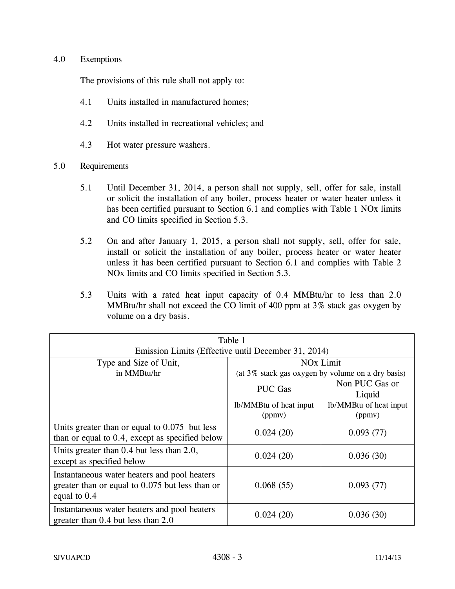## 4.0 Exemptions

The provisions of this rule shall not apply to:

- 4.1 Units installed in manufactured homes;
- 4.2 Units installed in recreational vehicles; and
- 4.3 Hot water pressure washers.
- 5.0 Requirements
	- 5.1 Until December 31, 2014, a person shall not supply, sell, offer for sale, install or solicit the installation of any boiler, process heater or water heater unless it has been certified pursuant to Section 6.1 and complies with Table 1 NOx limits and CO limits specified in Section 5.3.
	- 5.2 On and after January 1, 2015, a person shall not supply, sell, offer for sale, install or solicit the installation of any boiler, process heater or water heater unless it has been certified pursuant to Section 6.1 and complies with Table 2 NOx limits and CO limits specified in Section 5.3.
	- 5.3 Units with a rated heat input capacity of 0.4 MMBtu/hr to less than 2.0 MMBtu/hr shall not exceed the CO limit of 400 ppm at 3% stack gas oxygen by volume on a dry basis.

| Table 1                                                                                                           |                                                   |                        |  |
|-------------------------------------------------------------------------------------------------------------------|---------------------------------------------------|------------------------|--|
| Emission Limits (Effective until December 31, 2014)                                                               |                                                   |                        |  |
| Type and Size of Unit,                                                                                            | <b>NO<sub>x</sub></b> Limit                       |                        |  |
| in MMBtu/hr                                                                                                       | (at 3% stack gas oxygen by volume on a dry basis) |                        |  |
|                                                                                                                   | <b>PUC Gas</b>                                    | Non PUC Gas or         |  |
|                                                                                                                   |                                                   | Liquid                 |  |
|                                                                                                                   | lb/MMBtu of heat input                            | lb/MMBtu of heat input |  |
|                                                                                                                   | (ppmv)                                            | (ppmv)                 |  |
| Units greater than or equal to $0.075$ but less<br>than or equal to 0.4, except as specified below                | 0.024(20)                                         | 0.093(77)              |  |
| Units greater than $0.4$ but less than $2.0$ ,<br>except as specified below                                       | 0.024(20)                                         | 0.036(30)              |  |
| Instantaneous water heaters and pool heaters<br>greater than or equal to $0.075$ but less than or<br>equal to 0.4 | 0.068(55)                                         | 0.093(77)              |  |
| Instantaneous water heaters and pool heaters<br>greater than $0.4$ but less than $2.0$                            | 0.024(20)                                         | 0.036(30)              |  |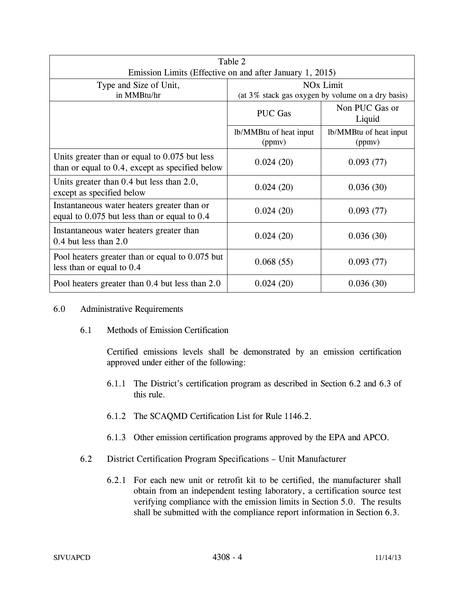| Table 2                                                                                            |                                                   |                                  |  |
|----------------------------------------------------------------------------------------------------|---------------------------------------------------|----------------------------------|--|
| Emission Limits (Effective on and after January 1, 2015)                                           |                                                   |                                  |  |
| Type and Size of Unit,                                                                             | <b>NO<sub>x</sub></b> Limit                       |                                  |  |
| in MMBtu/hr                                                                                        | (at 3% stack gas oxygen by volume on a dry basis) |                                  |  |
|                                                                                                    | <b>PUC Gas</b>                                    | Non PUC Gas or<br>Liquid         |  |
|                                                                                                    | lb/MMBtu of heat input<br>(ppmv)                  | lb/MMBtu of heat input<br>(ppmv) |  |
| Units greater than or equal to $0.075$ but less<br>than or equal to 0.4, except as specified below | 0.024(20)                                         | 0.093(77)                        |  |
| Units greater than 0.4 but less than 2.0,<br>except as specified below                             | 0.024(20)                                         | 0.036(30)                        |  |
| Instantaneous water heaters greater than or<br>equal to $0.075$ but less than or equal to $0.4$    | 0.024(20)                                         | 0.093(77)                        |  |
| Instantaneous water heaters greater than<br>$0.4$ but less than $2.0$                              | 0.024(20)                                         | 0.036(30)                        |  |
| Pool heaters greater than or equal to 0.075 but<br>less than or equal to $0.4$                     | 0.068(55)                                         | 0.093(77)                        |  |
| Pool heaters greater than 0.4 but less than 2.0                                                    | 0.024(20)                                         | 0.036(30)                        |  |

## 6.0 Administrative Requirements

6.1 Methods of Emission Certification

 Certified emissions levels shall be demonstrated by an emission certification approved under either of the following:

- 6.1.1 The District's certification program as described in Section 6.2 and 6.3 of this rule.
- 6.1.2 The SCAQMD Certification List for Rule 1146.2.
- 6.1.3 Other emission certification programs approved by the EPA and APCO.
- 6.2 District Certification Program Specifications Unit Manufacturer
	- 6.2.1 For each new unit or retrofit kit to be certified, the manufacturer shall obtain from an independent testing laboratory, a certification source test verifying compliance with the emission limits in Section 5.0. The results shall be submitted with the compliance report information in Section 6.3.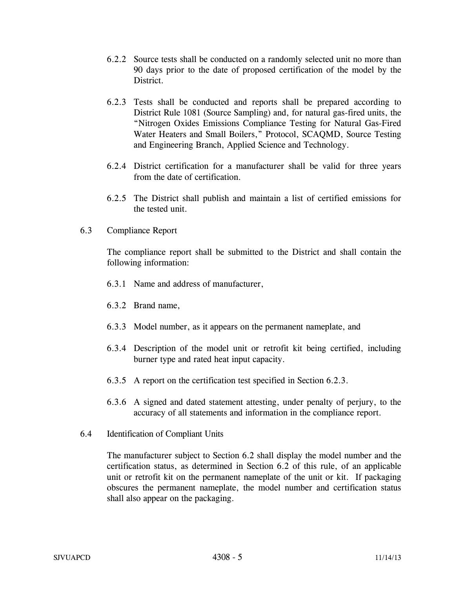- 6.2.2 Source tests shall be conducted on a randomly selected unit no more than 90 days prior to the date of proposed certification of the model by the District.
- 6.2.3 Tests shall be conducted and reports shall be prepared according to District Rule 1081 (Source Sampling) and, for natural gas-fired units, the "Nitrogen Oxides Emissions Compliance Testing for Natural Gas-Fired Water Heaters and Small Boilers," Protocol, SCAQMD, Source Testing and Engineering Branch, Applied Science and Technology.
- 6.2.4 District certification for a manufacturer shall be valid for three years from the date of certification.
- 6.2.5 The District shall publish and maintain a list of certified emissions for the tested unit.
- 6.3 Compliance Report

The compliance report shall be submitted to the District and shall contain the following information:

- 6.3.1 Name and address of manufacturer,
- 6.3.2 Brand name,
- 6.3.3 Model number, as it appears on the permanent nameplate, and
- 6.3.4 Description of the model unit or retrofit kit being certified, including burner type and rated heat input capacity.
- 6.3.5 A report on the certification test specified in Section 6.2.3.
- 6.3.6 A signed and dated statement attesting, under penalty of perjury, to the accuracy of all statements and information in the compliance report.
- 6.4 Identification of Compliant Units

 The manufacturer subject to Section 6.2 shall display the model number and the certification status, as determined in Section 6.2 of this rule, of an applicable unit or retrofit kit on the permanent nameplate of the unit or kit. If packaging obscures the permanent nameplate, the model number and certification status shall also appear on the packaging.